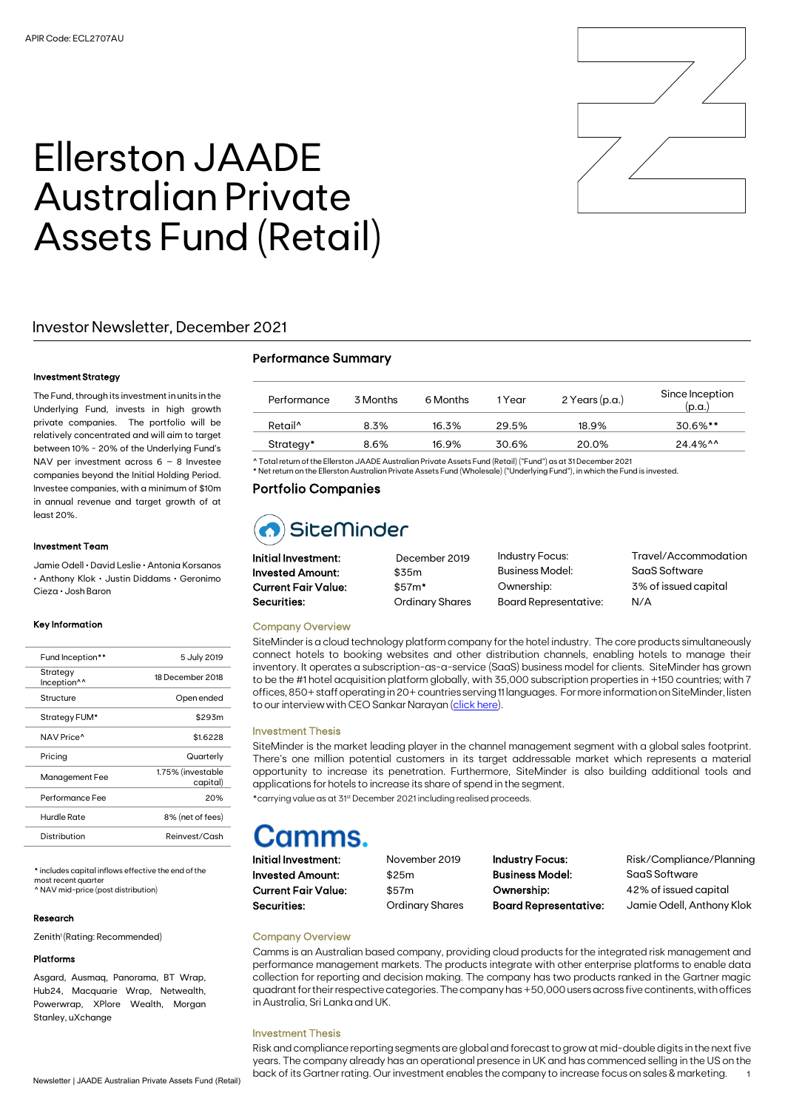

# Ellerston JAADE Australian Private Assets Fund (Retail)

## Investor Newsletter, December 2021

#### Investment Strategy

The Fund, through its investment in units in the Underlying Fund, invests in high growth private companies. The portfolio will be relatively concentrated and will aim to target between 10% - 20% of the Underlying Fund's NAV per investment across 6 – 8 Investee companies beyond the Initial Holding Period. Investee companies, with a minimum of \$10m in annual revenue and target growth of at least 20%.

#### Investment Team

Jamie Odell • David Leslie • Antonia Korsanos • Anthony Klok • Justin Diddams • Geronimo Cieza • Josh Baron

#### Key Information

| Fund Inception**                    | 5 July 2019                   |
|-------------------------------------|-------------------------------|
| Strategy<br>Inception <sup>^^</sup> | 18 December 2018              |
| Structure                           | Open ended                    |
| Strategy FUM*                       | \$293m                        |
| NAV Price <sup>^</sup>              | \$1.6228                      |
| Pricing                             | Quarterly                     |
| Management Fee                      | 1.75% (investable<br>capital) |
| Performance Fee                     | 20%                           |
| Hurdle Rate                         | 8% (net of fees)              |
| Distribution                        | Reinvest/Cash                 |

\* includes capital inflows effective the end of the most recent quarter ^ NAV mid-price (post distribution)

#### Research

Zenith<sup>1</sup> (Rating: Recommended)

#### Platforms

Asgard, Ausmaq, Panorama, BT Wrap, Hub24, Macquarie Wrap, Netwealth, Powerwrap, XPlore Wealth, Morgan Stanley, uXchange

| <b>Performance Summary</b> |  |
|----------------------------|--|
|----------------------------|--|

| Retail <sup>^</sup><br>8.3%<br>16.3%<br>29.5%<br>18.9% | Performance | 3 Months | 6 Months | 1 Year | $2$ Years (p.a.) | Since Inception<br>(p.a.) |
|--------------------------------------------------------|-------------|----------|----------|--------|------------------|---------------------------|
|                                                        |             |          |          |        |                  | $30.6\%$ **               |
| 16.9%<br>30.6%<br>20.0%<br>Strategy*<br>8.6%           |             |          |          |        |                  | 24.4%^^                   |

 $\,$  Therston JAADE Australian Private Assets Fund (Retail) ("Fund") as at 31 Decemi \* Net return on the Ellerston Australian Private Assets Fund (Wholesale) ("Underlying Fund"), in which the Fund is invested.

### Portfolio Companies

## SiteMinder

| $\sim$ $\sim$              |                        |                              |                      |
|----------------------------|------------------------|------------------------------|----------------------|
| Initial Investment:        | December 2019          | <b>Industry Focus:</b>       | Travel/Accommodation |
| <b>Invested Amount:</b>    | \$35m                  | <b>Business Model:</b>       | SaaS Software        |
| <b>Current Fair Value:</b> | $$57m*$                | Ownership:                   | 3% of issued capital |
| Securities:                | <b>Ordinary Shares</b> | <b>Board Representative:</b> | N/A                  |
|                            |                        |                              |                      |

#### Company Overview

SiteMinder is a cloud technology platform company for the hotel industry. The core products simultaneously connect hotels to booking websites and other distribution channels, enabling hotels to manage their inventory. It operates a subscription-as-a-service (SaaS) business model for clients. SiteMinder has grown to be the #1 hotel acquisition platform globally, with 35,000 subscription properties in +150 countries; with 7 offices, 850+ staff operating in 20+ countries serving 11 languages. For more information on SiteMinder, listen to our interview with CEO Sankar Narayan [\(click here\)](https://soundcloud.com/ellerston_ventures/siteminder-2/s-b89Wj).

#### Investment Thesis

SiteMinder is the market leading player in the channel management segment with a global sales footprint. There's one million potential customers in its target addressable market which represents a material opportunity to increase its penetration. Furthermore, SiteMinder is also building additional tools and applications for hotels to increase its share of spend in the segment. \*carrying value as at 31st December 2021 including realised proceeds.

Initial Investment: November 2019 Invested Amount: \$25m Current Fair Value: \$57m Securities: **Securities:** Ordinary Shares

Business Model: SaaS Software

Industry Focus: Risk/Compliance/Planning Ownership: 42% of issued capital Board Representative: Jamie Odell, Anthony Klok

### Company Overview

Camms is an Australian based company, providing cloud products for the integrated risk management and performance management markets. The products integrate with other enterprise platforms to enable data collection for reporting and decision making. The company has two products ranked in the Gartner magic quadrant for their respective categories. The company has +50,000 users across five continents, with offices in Australia, Sri Lanka and UK.

#### Investment Thesis

Newsletter | JAADE Australian Private Assets Fund (Retail) <sup>1</sup> back of its Gartner rating. Our investment enables the company to increase focus on sales & marketing. Risk and compliance reporting segments are global and forecast to grow at mid-double digits in the next five years. The company already has an operational presence in UK and has commenced selling in the US on the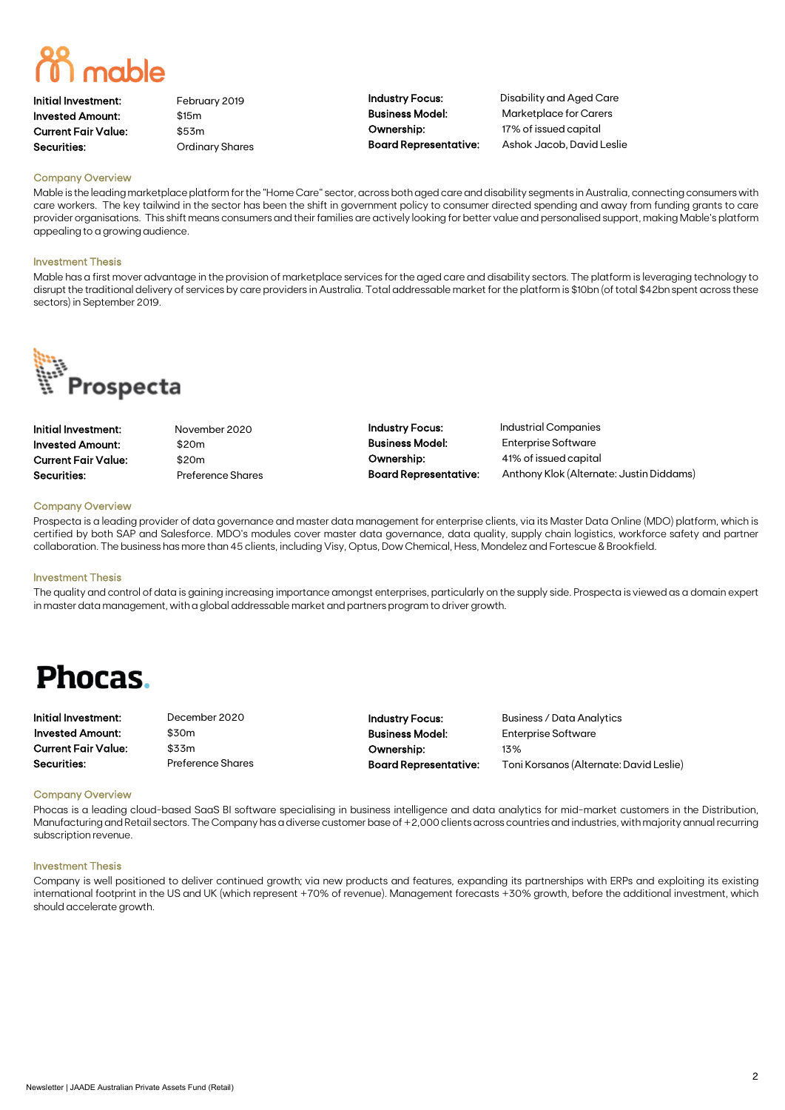Initial Investment: February 2019 Invested Amount: \$15m Current Fair Value: \$53m Securities: **Securities:** Ordinary Shares

Ownership: 17% of issued capital

Industry Focus: Disability and Aged Care Business Model: Marketplace for Carers Board Representative: Ashok Jacob, David Leslie

#### Company Overview

Mable is the leading marketplace platform for the "Home Care" sector, across both aged care and disability segments in Australia, connecting consumers with care workers. The key tailwind in the sector has been the shift in government policy to consumer directed spending and away from funding grants to care provider organisations. This shift means consumers and their families are actively looking for better value and personalised support, making Mable's platform appealing to a growing audience.

#### Investment Thesis

Mable has a first mover advantage in the provision of marketplace services for the aged care and disability sectors. The platform is leveraging technology to disrupt the traditional delivery of services by care providers in Australia. Total addressable market for the platform is \$10bn (of total \$42bn spent across these sectors) in September 2019.



| Initial Investment:        |
|----------------------------|
| <b>Invested Amount:</b>    |
| <b>Current Fair Value:</b> |
| $C_{\text{O}}$             |

November 2020 \$20m \$20m Preference Shares Industry Focus: Industrial Companies Business Model: Enterprise Software Ownership: 41% of issued capital

Board Representative: Anthony Klok (Alternate: Justin Diddams)

#### Company Overview

Prospecta is a leading provider of data governance and master data management for enterprise clients, via its Master Data Online (MDO) platform, which is certified by both SAP and Salesforce. MDO's modules cover master data governance, data quality, supply chain logistics, workforce safety and partner collaboration. The business has more than 45 clients, including Visy, Optus, Dow Chemical, Hess, Mondelez and Fortescue & Brookfield.

#### Investment Thesis

The quality and control of data is gaining increasing importance amongst enterprises, particularly on the supply side. Prospecta is viewed as a domain expert in master data management, with a global addressable market and partners program to driver growth.

## **Phocas.**

Initial Investment: December 2020 Invested Amount: \$30m Current Fair Value: \$33m Securities: Preference Shares

Business Model: Enterprise Software Ownership: 13%

Industry Focus: Business / Data Analytics Board Representative: Toni Korsanos (Alternate: David Leslie)

#### Company Overview

Phocas is a leading cloud-based SaaS BI software specialising in business intelligence and data analytics for mid-market customers in the Distribution, Manufacturing and Retail sectors. The Company has a diverse customer base of +2,000 clients across countries and industries, with majority annual recurring subscription revenue.

#### Investment Thesis

Company is well positioned to deliver continued growth; via new products and features, expanding its partnerships with ERPs and exploiting its existing international footprint in the US and UK (which represent +70% of revenue). Management forecasts +30% growth, before the additional investment, which should accelerate growth.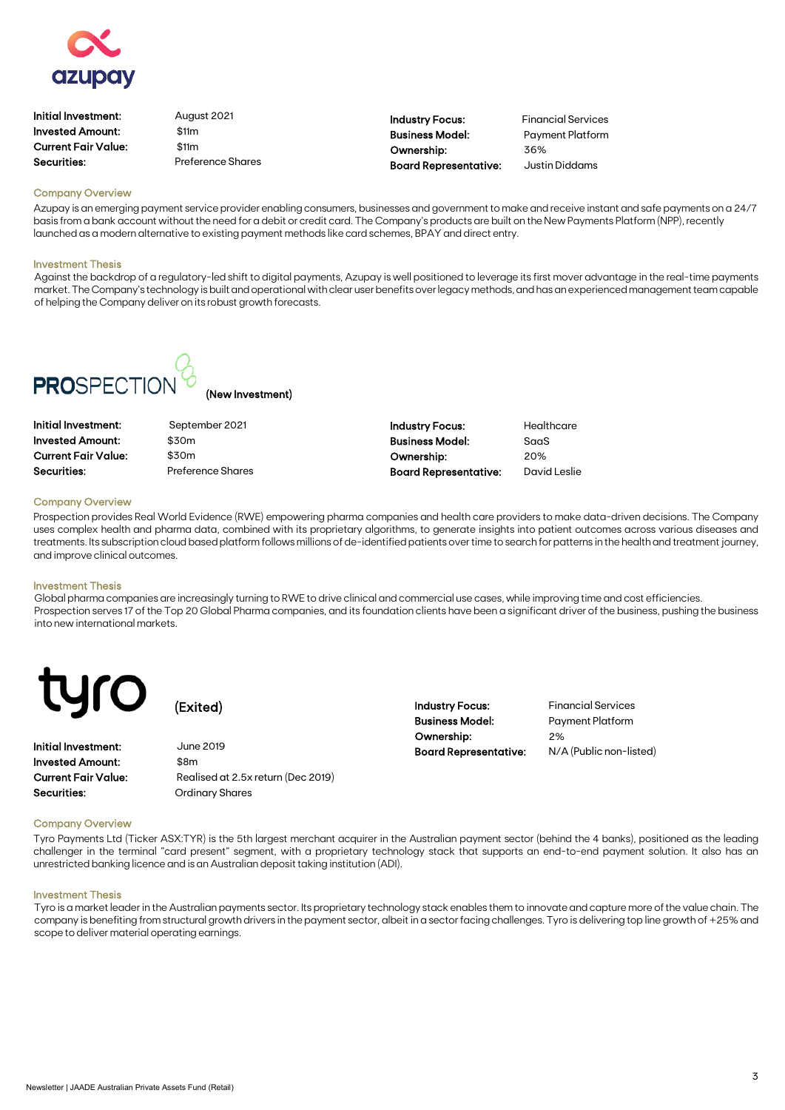

| Initial Investment: | August 2021              |  |
|---------------------|--------------------------|--|
| Invested Amount:    | \$11m                    |  |
| Current Fair Value: | \$11m                    |  |
| Securities:         | <b>Preference Shares</b> |  |
|                     |                          |  |

Industry Focus: Financial Services Business Model: Payment Platform Ownership: 36% Board Representative: Justin Diddams

#### Company Overview

Azupay is an emerging payment service provider enabling consumers, businesses and government to make and receive instant and safe payments on a 24/7 basis from a bank account without the need for a debit or credit card. The Company's products are built on the New Payments Platform (NPP), recently launched as a modern alternative to existing payment methods like card schemes, BPAY and direct entry.

#### Investment Thesis

Against the backdrop of a regulatory-led shift to digital payments, Azupay is well positioned to leverage its first mover advantage in the real-time payments market. The Company's technology is built and operational with clear user benefits over legacy methods, and has an experienced management team capable of helping the Company deliver on its robust growth forecasts.



(New Investment)

| Initial Investment:        |
|----------------------------|
| <b>Invested Amount:</b>    |
| <b>Current Fair Value:</b> |
| Securities:                |

September 2021 \$30m \$30m Preference Shares

| <b>Industry Focus:</b>       | Healt |
|------------------------------|-------|
| <b>Business Model:</b>       | SaaS  |
| Ownership:                   | 20%   |
| <b>Board Representative:</b> | Davio |
|                              |       |

althcare Board Representative: David Leslie

#### Company Overview

Prospection provides Real World Evidence (RWE) empowering pharma companies and health care providers to make data-driven decisions. The Company uses complex health and pharma data, combined with its proprietary algorithms, to generate insights into patient outcomes across various diseases and treatments. Its subscription cloud based platform follows millions of de-identified patients over time to search for patterns in the health and treatment journey, and improve clinical outcomes.

#### Investment Thesis

Global pharma companies are increasingly turning to RWE to drive clinical and commercial use cases, while improving time and cost efficiencies. Prospection serves 17 of the Top 20 Global Pharma companies, and its foundation clients have been a significant driver of the business, pushing the business into new international markets.

Initial Investment: June 2019 **Invested Amount:** \$8m Current Fair Value: Realised at 2.5x return (Dec 2019) Securities: **Securities:** Ordinary Shares

(Exited)

Industry Focus: Financial Services Business Model: Payment Platform Ownership: 2%

Board Representative: N/A (Public non-listed)

#### Company Overview

Tyro Payments Ltd (Ticker ASX:TYR) is the 5th largest merchant acquirer in the Australian payment sector (behind the 4 banks), positioned as the leading challenger in the terminal "card present" segment, with a proprietary technology stack that supports an end-to-end payment solution. It also has an unrestricted banking licence and is an Australian deposit taking institution (ADI).

#### Investment Thesis

Tyro is a market leader in the Australian payments sector. Its proprietary technology stack enables them to innovate and capture more of the value chain. The company is benefiting from structural growth drivers in the payment sector, albeit in a sector facing challenges. Tyro is delivering top line growth of +25% and scope to deliver material operating earnings.